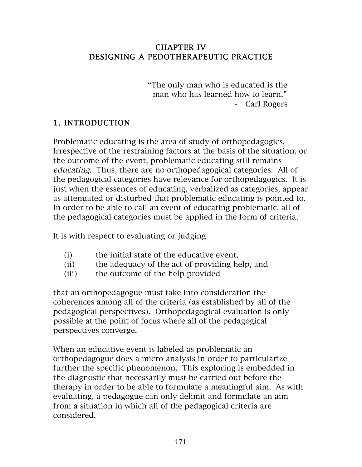#### CHAPTER IV DESIGNING A PEDOTHERAPEUTIC PRACTICE

 "The only man who is educated is the man who has learned how to learn." - Carl Rogers

### 1. INTRODUCTION

Problematic educating is the area of study of orthopedagogics. Irrespective of the restraining factors at the basis of the situation, or the outcome of the event, problematic educating still remains educating. Thus, there are no orthopedagogical categories. All of the pedagogical categories have relevance for orthopedagogics. It is just when the essences of educating, verbalized as categories, appear as attenuated or disturbed that problematic educating is pointed to. In order to be able to call an event of educating problematic, all of the pedagogical categories must be applied in the form of criteria.

It is with respect to evaluating or judging

- (i) the initial state of the educative event,
- (ii) the adequacy of the act of providing help, and
- (iii) the outcome of the help provided

that an orthopedagogue must take into consideration the coherences among all of the criteria (as established by all of the pedagogical perspectives). Orthopedagogical evaluation is only possible at the point of focus where all of the pedagogical perspectives converge.

When an educative event is labeled as problematic an orthopedagogue does a micro-analysis in order to particularize further the specific phenomenon. This exploring is embedded in the diagnostic that necessarily must be carried out before the therapy in order to be able to formulate a meaningful aim. As with evaluating, a pedagogue can only delimit and formulate an aim from a situation in which all of the pedagogical criteria are considered.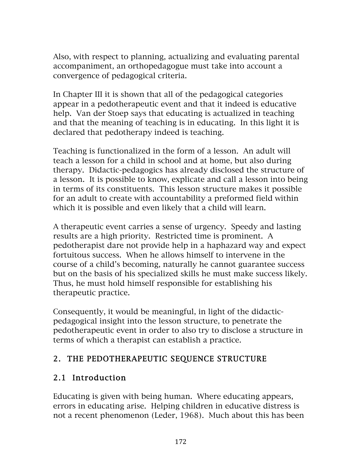Also, with respect to planning, actualizing and evaluating parental accompaniment, an orthopedagogue must take into account a convergence of pedagogical criteria.

In Chapter III it is shown that all of the pedagogical categories appear in a pedotherapeutic event and that it indeed is educative help. Van der Stoep says that educating is actualized in teaching and that the meaning of teaching is in educating. In this light it is declared that pedotherapy indeed is teaching.

Teaching is functionalized in the form of a lesson. An adult will teach a lesson for a child in school and at home, but also during therapy. Didactic-pedagogics has already disclosed the structure of a lesson. It is possible to know, explicate and call a lesson into being in terms of its constituents. This lesson structure makes it possible for an adult to create with accountability a preformed field within which it is possible and even likely that a child will learn.

A therapeutic event carries a sense of urgency. Speedy and lasting results are a high priority. Restricted time is prominent. A pedotherapist dare not provide help in a haphazard way and expect fortuitous success. When he allows himself to intervene in the course of a child's becoming, naturally he cannot guarantee success but on the basis of his specialized skills he must make success likely. Thus, he must hold himself responsible for establishing his therapeutic practice.

Consequently, it would be meaningful, in light of the didacticpedagogical insight into the lesson structure, to penetrate the pedotherapeutic event in order to also try to disclose a structure in terms of which a therapist can establish a practice.

## 2. THE PEDOTHERAPEUTIC SEQUENCE STRUCTURE

## 2.1 Introduction

Educating is given with being human. Where educating appears, errors in educating arise. Helping children in educative distress is not a recent phenomenon (Leder, 1968). Much about this has been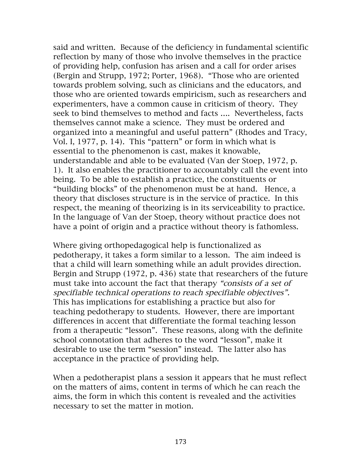said and written. Because of the deficiency in fundamental scientific reflection by many of those who involve themselves in the practice of providing help, confusion has arisen and a call for order arises (Bergin and Strupp, 1972; Porter, 1968). "Those who are oriented towards problem solving, such as clinicians and the educators, and those who are oriented towards empiricism, such as researchers and experimenters, have a common cause in criticism of theory. They seek to bind themselves to method and facts …. Nevertheless, facts themselves cannot make a science. They must be ordered and organized into a meaningful and useful pattern" (Rhodes and Tracy, Vol. I, 1977, p. 14). This "pattern" or form in which what is essential to the phenomenon is cast, makes it knowable, understandable and able to be evaluated (Van der Stoep, 1972, p. 1). It also enables the practitioner to accountably call the event into being. To be able to establish a practice, the constituents or "building blocks" of the phenomenon must be at hand. Hence, a theory that discloses structure is in the service of practice. In this respect, the meaning of theorizing is in its serviceability to practice. In the language of Van der Stoep, theory without practice does not have a point of origin and a practice without theory is fathomless.

Where giving orthopedagogical help is functionalized as pedotherapy, it takes a form similar to a lesson. The aim indeed is that a child will learn something while an adult provides direction. Bergin and Strupp (1972, p. 436) state that researchers of the future must take into account the fact that therapy "consists of a set of specifiable technical operations to reach specifiable objectives". This has implications for establishing a practice but also for teaching pedotherapy to students. However, there are important differences in accent that differentiate the formal teaching lesson from a therapeutic "lesson". These reasons, along with the definite school connotation that adheres to the word "lesson", make it desirable to use the term "session" instead. The latter also has acceptance in the practice of providing help.

When a pedotherapist plans a session it appears that he must reflect on the matters of aims, content in terms of which he can reach the aims, the form in which this content is revealed and the activities necessary to set the matter in motion.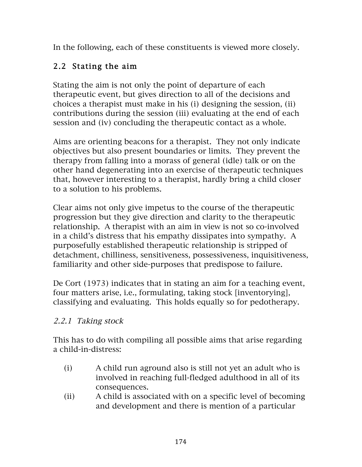In the following, each of these constituents is viewed more closely.

# 2.2 Stating the aim

Stating the aim is not only the point of departure of each therapeutic event, but gives direction to all of the decisions and choices a therapist must make in his (i) designing the session, (ii) contributions during the session (iii) evaluating at the end of each session and (iv) concluding the therapeutic contact as a whole.

Aims are orienting beacons for a therapist. They not only indicate objectives but also present boundaries or limits. They prevent the therapy from falling into a morass of general (idle) talk or on the other hand degenerating into an exercise of therapeutic techniques that, however interesting to a therapist, hardly bring a child closer to a solution to his problems.

Clear aims not only give impetus to the course of the therapeutic progression but they give direction and clarity to the therapeutic relationship. A therapist with an aim in view is not so co-involved in a child's distress that his empathy dissipates into sympathy. A purposefully established therapeutic relationship is stripped of detachment, chilliness, sensitiveness, possessiveness, inquisitiveness, familiarity and other side-purposes that predispose to failure.

De Cort (1973) indicates that in stating an aim for a teaching event, four matters arise, i.e., formulating, taking stock [inventorying], classifying and evaluating. This holds equally so for pedotherapy.

## 2.2.1 Taking stock

This has to do with compiling all possible aims that arise regarding a child-in-distress:

- (i) A child run aground also is still not yet an adult who is involved in reaching full-fledged adulthood in all of its consequences.
- (ii) A child is associated with on a specific level of becoming and development and there is mention of a particular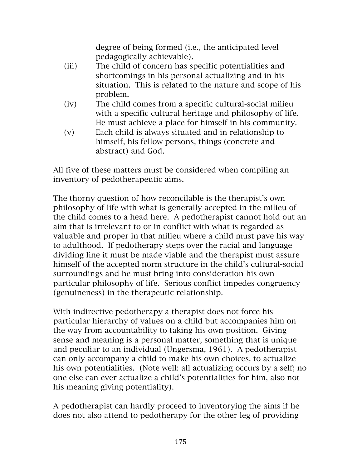degree of being formed (i.e., the anticipated level pedagogically achievable).

- (iii) The child of concern has specific potentialities and shortcomings in his personal actualizing and in his situation. This is related to the nature and scope of his problem.
- (iv) The child comes from a specific cultural-social milieu with a specific cultural heritage and philosophy of life. He must achieve a place for himself in his community.
- (v) Each child is always situated and in relationship to himself, his fellow persons, things (concrete and abstract) and God.

All five of these matters must be considered when compiling an inventory of pedotherapeutic aims.

The thorny question of how reconcilable is the therapist's own philosophy of life with what is generally accepted in the milieu of the child comes to a head here. A pedotherapist cannot hold out an aim that is irrelevant to or in conflict with what is regarded as valuable and proper in that milieu where a child must pave his way to adulthood. If pedotherapy steps over the racial and language dividing line it must be made viable and the therapist must assure himself of the accepted norm structure in the child's cultural-social surroundings and he must bring into consideration his own particular philosophy of life. Serious conflict impedes congruency (genuineness) in the therapeutic relationship.

With indirective pedotherapy a therapist does not force his particular hierarchy of values on a child but accompanies him on the way from accountability to taking his own position. Giving sense and meaning is a personal matter, something that is unique and peculiar to an individual (Ungersma, 1961). A pedotherapist can only accompany a child to make his own choices, to actualize his own potentialities. (Note well: all actualizing occurs by a self; no one else can ever actualize a child's potentialities for him, also not his meaning giving potentiality).

A pedotherapist can hardly proceed to inventorying the aims if he does not also attend to pedotherapy for the other leg of providing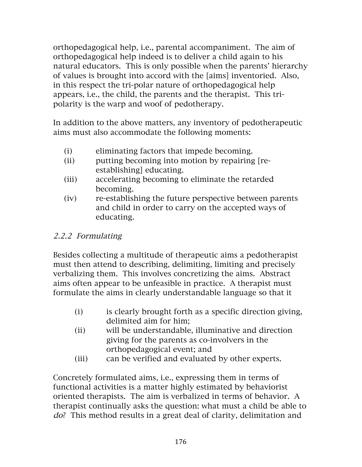orthopedagogical help, i.e., parental accompaniment. The aim of orthopedagogical help indeed is to deliver a child again to his natural educators. This is only possible when the parents' hierarchy of values is brought into accord with the [aims] inventoried. Also, in this respect the tri-polar nature of orthopedagogical help appears, i.e., the child, the parents and the therapist. This tripolarity is the warp and woof of pedotherapy.

In addition to the above matters, any inventory of pedotherapeutic aims must also accommodate the following moments:

- (i) eliminating factors that impede becoming.
- (ii) putting becoming into motion by repairing [reestablishing] educating.
- (iii) accelerating becoming to eliminate the retarded becoming.
- (iv) re-establishing the future perspective between parents and child in order to carry on the accepted ways of educating.

### 2.2.2 Formulating

Besides collecting a multitude of therapeutic aims a pedotherapist must then attend to describing, delimiting, limiting and precisely verbalizing them. This involves concretizing the aims. Abstract aims often appear to be unfeasible in practice. A therapist must formulate the aims in clearly understandable language so that it

- (i) is clearly brought forth as a specific direction giving, delimited aim for him;
- (ii) will be understandable, illuminative and direction giving for the parents as co-involvers in the orthopedagogical event; and
- (iii) can be verified and evaluated by other experts.

Concretely formulated aims, i.e., expressing them in terms of functional activities is a matter highly estimated by behaviorist oriented therapists. The aim is verbalized in terms of behavior. A therapist continually asks the question: what must a child be able to do? This method results in a great deal of clarity, delimitation and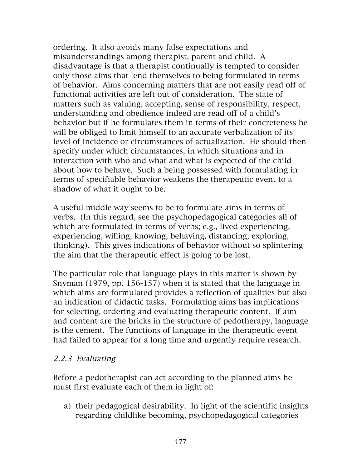ordering. It also avoids many false expectations and misunderstandings among therapist, parent and child. A disadvantage is that a therapist continually is tempted to consider only those aims that lend themselves to being formulated in terms of behavior. Aims concerning matters that are not easily read off of functional activities are left out of consideration. The state of matters such as valuing, accepting, sense of responsibility, respect, understanding and obedience indeed are read off of a child's behavior but if he formulates them in terms of their concreteness he will be obliged to limit himself to an accurate verbalization of its level of incidence or circumstances of actualization. He should then specify under which circumstances, in which situations and in interaction with who and what and what is expected of the child about how to behave. Such a being possessed with formulating in terms of specifiable behavior weakens the therapeutic event to a shadow of what it ought to be.

A useful middle way seems to be to formulate aims in terms of verbs. (In this regard, see the psychopedagogical categories all of which are formulated in terms of verbs; e.g., lived experiencing, experiencing, willing, knowing, behaving, distancing, exploring, thinking). This gives indications of behavior without so splintering the aim that the therapeutic effect is going to be lost.

The particular role that language plays in this matter is shown by Snyman (1979, pp. 156-157) when it is stated that the language in which aims are formulated provides a reflection of qualities but also an indication of didactic tasks. Formulating aims has implications for selecting, ordering and evaluating therapeutic content. If aim and content are the bricks in the structure of pedotherapy, language is the cement. The functions of language in the therapeutic event had failed to appear for a long time and urgently require research.

#### 2.2.3 Evaluating

Before a pedotherapist can act according to the planned aims he must first evaluate each of them in light of:

a) their pedagogical desirability. In light of the scientific insights regarding childlike becoming, psychopedagogical categories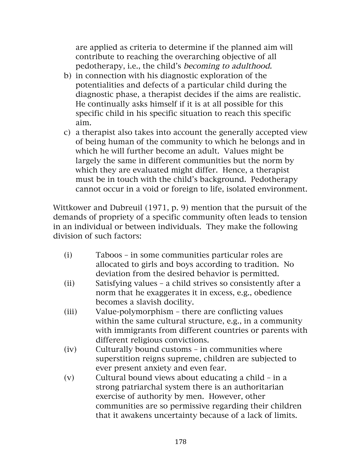are applied as criteria to determine if the planned aim will contribute to reaching the overarching objective of all pedotherapy, i.e., the child's becoming to adulthood.

- b) in connection with his diagnostic exploration of the potentialities and defects of a particular child during the diagnostic phase, a therapist decides if the aims are realistic. He continually asks himself if it is at all possible for this specific child in his specific situation to reach this specific aim.
- c) a therapist also takes into account the generally accepted view of being human of the community to which he belongs and in which he will further become an adult. Values might be largely the same in different communities but the norm by which they are evaluated might differ. Hence, a therapist must be in touch with the child's background. Pedotherapy cannot occur in a void or foreign to life, isolated environment.

Wittkower and Dubreuil (1971, p. 9) mention that the pursuit of the demands of propriety of a specific community often leads to tension in an individual or between individuals. They make the following division of such factors:

- (i) Taboos in some communities particular roles are allocated to girls and boys according to tradition. No deviation from the desired behavior is permitted.
- (ii) Satisfying values a child strives so consistently after a norm that he exaggerates it in excess, e.g., obedience becomes a slavish docility.
- (iii) Value-polymorphism there are conflicting values within the same cultural structure, e.g., in a community with immigrants from different countries or parents with different religious convictions.
- (iv) Culturally bound customs in communities where superstition reigns supreme, children are subjected to ever present anxiety and even fear.
- (v) Cultural bound views about educating a child in a strong patriarchal system there is an authoritarian exercise of authority by men. However, other communities are so permissive regarding their children that it awakens uncertainty because of a lack of limits.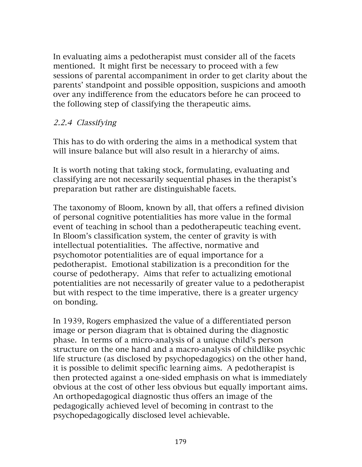In evaluating aims a pedotherapist must consider all of the facets mentioned. It might first be necessary to proceed with a few sessions of parental accompaniment in order to get clarity about the parents' standpoint and possible opposition, suspicions and amooth over any indifference from the educators before he can proceed to the following step of classifying the therapeutic aims.

#### 2.2.4 Classifying

This has to do with ordering the aims in a methodical system that will insure balance but will also result in a hierarchy of aims.

It is worth noting that taking stock, formulating, evaluating and classifying are not necessarily sequential phases in the therapist's preparation but rather are distinguishable facets.

The taxonomy of Bloom, known by all, that offers a refined division of personal cognitive potentialities has more value in the formal event of teaching in school than a pedotherapeutic teaching event. In Bloom's classification system, the center of gravity is with intellectual potentialities. The affective, normative and psychomotor potentialities are of equal importance for a pedotherapist. Emotional stabilization is a precondition for the course of pedotherapy. Aims that refer to actualizing emotional potentialities are not necessarily of greater value to a pedotherapist but with respect to the time imperative, there is a greater urgency on bonding.

In 1939, Rogers emphasized the value of a differentiated person image or person diagram that is obtained during the diagnostic phase. In terms of a micro-analysis of a unique child's person structure on the one hand and a macro-analysis of childlike psychic life structure (as disclosed by psychopedagogics) on the other hand, it is possible to delimit specific learning aims. A pedotherapist is then protected against a one-sided emphasis on what is immediately obvious at the cost of other less obvious but equally important aims. An orthopedagogical diagnostic thus offers an image of the pedagogically achieved level of becoming in contrast to the psychopedagogically disclosed level achievable.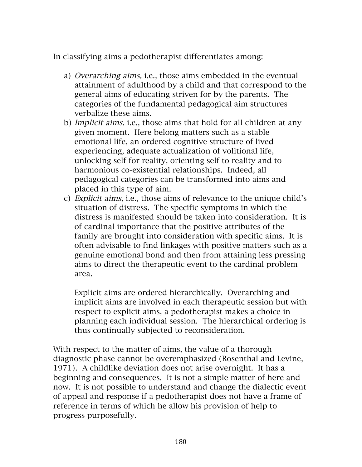In classifying aims a pedotherapist differentiates among:

- a) Overarching aims, i.e., those aims embedded in the eventual attainment of adulthood by a child and that correspond to the general aims of educating striven for by the parents. The categories of the fundamental pedagogical aim structures verbalize these aims.
- b) Implicit aims. i.e., those aims that hold for all children at any given moment. Here belong matters such as a stable emotional life, an ordered cognitive structure of lived experiencing, adequate actualization of volitional life, unlocking self for reality, orienting self to reality and to harmonious co-existential relationships. Indeed, all pedagogical categories can be transformed into aims and placed in this type of aim.
- c) Explicit aims, i.e., those aims of relevance to the unique child's situation of distress. The specific symptoms in which the distress is manifested should be taken into consideration. It is of cardinal importance that the positive attributes of the family are brought into consideration with specific aims. It is often advisable to find linkages with positive matters such as a genuine emotional bond and then from attaining less pressing aims to direct the therapeutic event to the cardinal problem area.

Explicit aims are ordered hierarchically. Overarching and implicit aims are involved in each therapeutic session but with respect to explicit aims, a pedotherapist makes a choice in planning each individual session. The hierarchical ordering is thus continually subjected to reconsideration.

With respect to the matter of aims, the value of a thorough diagnostic phase cannot be overemphasized (Rosenthal and Levine, 1971). A childlike deviation does not arise overnight. It has a beginning and consequences. It is not a simple matter of here and now. It is not possible to understand and change the dialectic event of appeal and response if a pedotherapist does not have a frame of reference in terms of which he allow his provision of help to progress purposefully.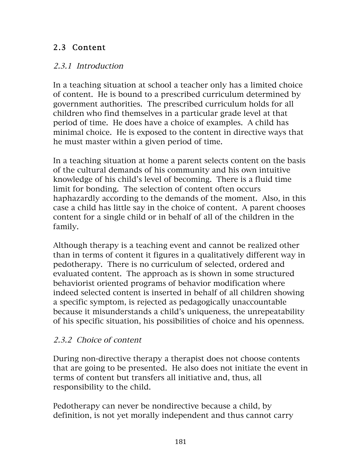## 2.3 Content

#### 2.3.1 Introduction

In a teaching situation at school a teacher only has a limited choice of content. He is bound to a prescribed curriculum determined by government authorities. The prescribed curriculum holds for all children who find themselves in a particular grade level at that period of time. He does have a choice of examples. A child has minimal choice. He is exposed to the content in directive ways that he must master within a given period of time.

In a teaching situation at home a parent selects content on the basis of the cultural demands of his community and his own intuitive knowledge of his child's level of becoming. There is a fluid time limit for bonding. The selection of content often occurs haphazardly according to the demands of the moment. Also, in this case a child has little say in the choice of content. A parent chooses content for a single child or in behalf of all of the children in the family.

Although therapy is a teaching event and cannot be realized other than in terms of content it figures in a qualitatively different way in pedotherapy. There is no curriculum of selected, ordered and evaluated content. The approach as is shown in some structured behaviorist oriented programs of behavior modification where indeed selected content is inserted in behalf of all children showing a specific symptom, is rejected as pedagogically unaccountable because it misunderstands a child's uniqueness, the unrepeatability of his specific situation, his possibilities of choice and his openness.

### 2.3.2 Choice of content

During non-directive therapy a therapist does not choose contents that are going to be presented. He also does not initiate the event in terms of content but transfers all initiative and, thus, all responsibility to the child.

Pedotherapy can never be nondirective because a child, by definition, is not yet morally independent and thus cannot carry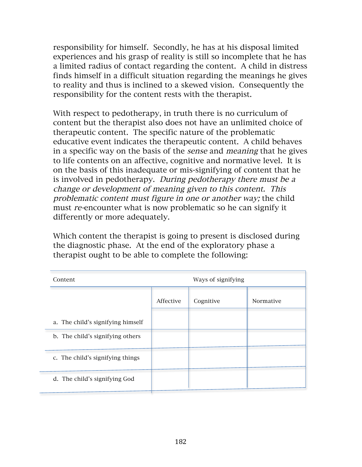responsibility for himself. Secondly, he has at his disposal limited experiences and his grasp of reality is still so incomplete that he has a limited radius of contact regarding the content. A child in distress finds himself in a difficult situation regarding the meanings he gives to reality and thus is inclined to a skewed vision. Consequently the responsibility for the content rests with the therapist.

With respect to pedotherapy, in truth there is no curriculum of content but the therapist also does not have an unlimited choice of therapeutic content. The specific nature of the problematic educative event indicates the therapeutic content. A child behaves in a specific way on the basis of the sense and meaning that he gives to life contents on an affective, cognitive and normative level. It is on the basis of this inadequate or mis-signifying of content that he is involved in pedotherapy. During pedotherapy there must be a change or development of meaning given to this content. This problematic content must figure in one or another way; the child must re-encounter what is now problematic so he can signify it differently or more adequately.

Which content the therapist is going to present is disclosed during the diagnostic phase. At the end of the exploratory phase a therapist ought to be able to complete the following:

| Content                           |           | Ways of signifying |           |
|-----------------------------------|-----------|--------------------|-----------|
|                                   | Affective | Cognitive          | Normative |
| a. The child's signifying himself |           |                    |           |
| b. The child's signifying others  |           |                    |           |
| c. The child's signifying things  |           |                    |           |
| d. The child's signifying God     |           |                    |           |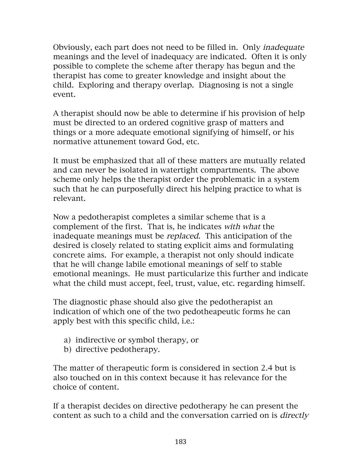Obviously, each part does not need to be filled in. Only inadequate meanings and the level of inadequacy are indicated. Often it is only possible to complete the scheme after therapy has begun and the therapist has come to greater knowledge and insight about the child. Exploring and therapy overlap. Diagnosing is not a single event.

A therapist should now be able to determine if his provision of help must be directed to an ordered cognitive grasp of matters and things or a more adequate emotional signifying of himself, or his normative attunement toward God, etc.

It must be emphasized that all of these matters are mutually related and can never be isolated in watertight compartments. The above scheme only helps the therapist order the problematic in a system such that he can purposefully direct his helping practice to what is relevant.

Now a pedotherapist completes a similar scheme that is a complement of the first. That is, he indicates with what the inadequate meanings must be replaced. This anticipation of the desired is closely related to stating explicit aims and formulating concrete aims. For example, a therapist not only should indicate that he will change labile emotional meanings of self to stable emotional meanings. He must particularize this further and indicate what the child must accept, feel, trust, value, etc. regarding himself.

The diagnostic phase should also give the pedotherapist an indication of which one of the two pedotheapeutic forms he can apply best with this specific child, i.e.:

- a) indirective or symbol therapy, or
- b) directive pedotherapy.

The matter of therapeutic form is considered in section 2.4 but is also touched on in this context because it has relevance for the choice of content.

If a therapist decides on directive pedotherapy he can present the content as such to a child and the conversation carried on is directly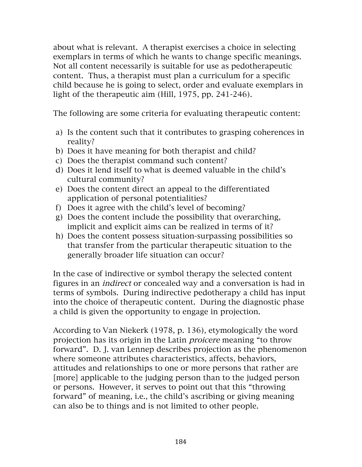about what is relevant. A therapist exercises a choice in selecting exemplars in terms of which he wants to change specific meanings. Not all content necessarily is suitable for use as pedotherapeutic content. Thus, a therapist must plan a curriculum for a specific child because he is going to select, order and evaluate exemplars in light of the therapeutic aim (Hill, 1975, pp. 241-246).

The following are some criteria for evaluating therapeutic content:

- a) Is the content such that it contributes to grasping coherences in reality?
- b) Does it have meaning for both therapist and child?
- c) Does the therapist command such content?
- d) Does it lend itself to what is deemed valuable in the child's cultural community?
- e) Does the content direct an appeal to the differentiated application of personal potentialities?
- f) Does it agree with the child's level of becoming?
- g) Does the content include the possibility that overarching, implicit and explicit aims can be realized in terms of it?
- h) Does the content possess situation-surpassing possibilities so that transfer from the particular therapeutic situation to the generally broader life situation can occur?

In the case of indirective or symbol therapy the selected content figures in an indirect or concealed way and a conversation is had in terms of symbols. During indirective pedotherapy a child has input into the choice of therapeutic content. During the diagnostic phase a child is given the opportunity to engage in projection.

According to Van Niekerk (1978, p. 136), etymologically the word projection has its origin in the Latin proicere meaning "to throw forward". D. J. van Lennep describes projection as the phenomenon where someone attributes characteristics, affects, behaviors, attitudes and relationships to one or more persons that rather are [more] applicable to the judging person than to the judged person or persons. However, it serves to point out that this "throwing forward" of meaning, i.e., the child's ascribing or giving meaning can also be to things and is not limited to other people.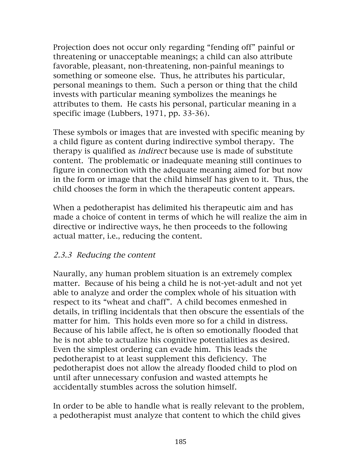Projection does not occur only regarding "fending off" painful or threatening or unacceptable meanings; a child can also attribute favorable, pleasant, non-threatening, non-painful meanings to something or someone else. Thus, he attributes his particular, personal meanings to them. Such a person or thing that the child invests with particular meaning symbolizes the meanings he attributes to them. He casts his personal, particular meaning in a specific image (Lubbers, 1971, pp. 33-36).

These symbols or images that are invested with specific meaning by a child figure as content during indirective symbol therapy. The therapy is qualified as indirect because use is made of substitute content. The problematic or inadequate meaning still continues to figure in connection with the adequate meaning aimed for but now in the form or image that the child himself has given to it. Thus, the child chooses the form in which the therapeutic content appears.

When a pedotherapist has delimited his therapeutic aim and has made a choice of content in terms of which he will realize the aim in directive or indirective ways, he then proceeds to the following actual matter, i.e., reducing the content.

#### 2.3.3 Reducing the content

Naurally, any human problem situation is an extremely complex matter. Because of his being a child he is not-yet-adult and not yet able to analyze and order the complex whole of his situation with respect to its "wheat and chaff". A child becomes enmeshed in details, in trifling incidentals that then obscure the essentials of the matter for him. This holds even more so for a child in distress. Because of his labile affect, he is often so emotionally flooded that he is not able to actualize his cognitive potentialities as desired. Even the simplest ordering can evade him. This leads the pedotherapist to at least supplement this deficiency. The pedotherapist does not allow the already flooded child to plod on until after unnecessary confusion and wasted attempts he accidentally stumbles across the solution himself.

In order to be able to handle what is really relevant to the problem, a pedotherapist must analyze that content to which the child gives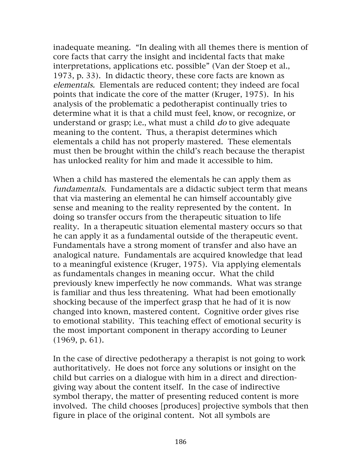inadequate meaning. "In dealing with all themes there is mention of core facts that carry the insight and incidental facts that make interpretations, applications etc. possible" (Van der Stoep et al., 1973, p. 33). In didactic theory, these core facts are known as elementals. Elementals are reduced content; they indeed are focal points that indicate the core of the matter (Kruger, 1975). In his analysis of the problematic a pedotherapist continually tries to determine what it is that a child must feel, know, or recognize, or understand or grasp; i.e., what must a child *do* to give adequate meaning to the content. Thus, a therapist determines which elementals a child has not properly mastered. These elementals must then be brought within the child's reach because the therapist has unlocked reality for him and made it accessible to him.

When a child has mastered the elementals he can apply them as fundamentals. Fundamentals are a didactic subject term that means that via mastering an elemental he can himself accountably give sense and meaning to the reality represented by the content. In doing so transfer occurs from the therapeutic situation to life reality. In a therapeutic situation elemental mastery occurs so that he can apply it as a fundamental outside of the therapeutic event. Fundamentals have a strong moment of transfer and also have an analogical nature. Fundamentals are acquired knowledge that lead to a meaningful existence (Kruger, 1975). Via applying elementals as fundamentals changes in meaning occur. What the child previously knew imperfectly he now commands. What was strange is familiar and thus less threatening. What had been emotionally shocking because of the imperfect grasp that he had of it is now changed into known, mastered content. Cognitive order gives rise to emotional stability. This teaching effect of emotional security is the most important component in therapy according to Leuner (1969, p. 61).

In the case of directive pedotherapy a therapist is not going to work authoritatively. He does not force any solutions or insight on the child but carries on a dialogue with him in a direct and directiongiving way about the content itself. In the case of indirective symbol therapy, the matter of presenting reduced content is more involved. The child chooses [produces] projective symbols that then figure in place of the original content. Not all symbols are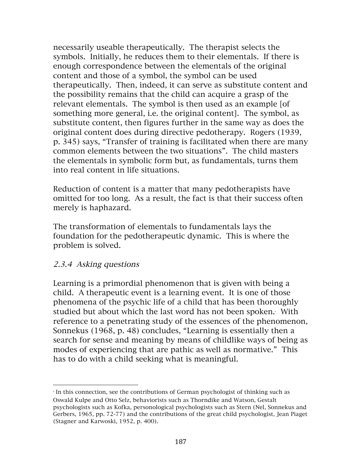necessarily useable therapeutically. The therapist selects the symbols. Initially, he reduces them to their elementals. If there is enough correspondence between the elementals of the original content and those of a symbol, the symbol can be used therapeutically. Then, indeed, it can serve as substitute content and the possibility remains that the child can acquire a grasp of the relevant elementals. The symbol is then used as an example [of something more general, i.e. the original content]. The symbol, as substitute content, then figures further in the same way as does the original content does during directive pedotherapy. Rogers (1939, p. 345) says, "Transfer of training is facilitated when there are many common elements between the two situations". The child masters the elementals in symbolic form but, as fundamentals, turns them into real content in life situations.

Reduction of content is a matter that many pedotherapists have omitted for too long. As a result, the fact is that their success often merely is haphazard.

The transformation of elementals to fundamentals lays the foundation for the pedotherapeutic dynamic. This is where the problem is solved.

#### 2.3.4 Asking questions

 

Learning is a primordial phenomenon that is given with being a child. A therapeutic event is a learning event. It is one of those phenomena of the psychic life of a child that has been thoroughly studied but about which the last word has not been spoken.• With reference to a penetrating study of the essences of the phenomenon, Sonnekus (1968, p. 48) concludes, "Learning is essentially then a search for sense and meaning by means of childlike ways of being as modes of experiencing that are pathic as well as normative." This has to do with a child seeking what is meaningful.

<sup>•</sup> In this connection, see the contributions of German psychologist of thinking such as Oswald Kulpe and Otto Selz, behaviorists such as Thorndike and Watson, Gestalt psychologists such as Kofka, personological psychologists such as Stern (Nel, Sonnekus and Gerbers, 1965, pp. 72-77) and the contributions of the great child psychologist, Jean Piaget (Stagner and Karwoski, 1952, p. 400).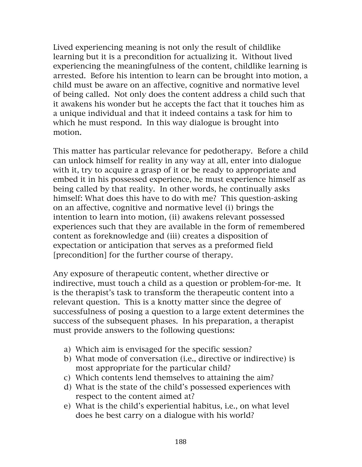Lived experiencing meaning is not only the result of childlike learning but it is a precondition for actualizing it. Without lived experiencing the meaningfulness of the content, childlike learning is arrested. Before his intention to learn can be brought into motion, a child must be aware on an affective, cognitive and normative level of being called. Not only does the content address a child such that it awakens his wonder but he accepts the fact that it touches him as a unique individual and that it indeed contains a task for him to which he must respond. In this way dialogue is brought into motion.

This matter has particular relevance for pedotherapy. Before a child can unlock himself for reality in any way at all, enter into dialogue with it, try to acquire a grasp of it or be ready to appropriate and embed it in his possessed experience, he must experience himself as being called by that reality. In other words, he continually asks himself: What does this have to do with me? This question-asking on an affective, cognitive and normative level (i) brings the intention to learn into motion, (ii) awakens relevant possessed experiences such that they are available in the form of remembered content as foreknowledge and (iii) creates a disposition of expectation or anticipation that serves as a preformed field [precondition] for the further course of therapy.

Any exposure of therapeutic content, whether directive or indirective, must touch a child as a question or problem-for-me. It is the therapist's task to transform the therapeutic content into a relevant question. This is a knotty matter since the degree of successfulness of posing a question to a large extent determines the success of the subsequent phases. In his preparation, a therapist must provide answers to the following questions:

- a) Which aim is envisaged for the specific session?
- b) What mode of conversation (i.e., directive or indirective) is most appropriate for the particular child?
- c) Which contents lend themselves to attaining the aim?
- d) What is the state of the child's possessed experiences with respect to the content aimed at?
- e) What is the child's experiential habitus, i.e., on what level does he best carry on a dialogue with his world?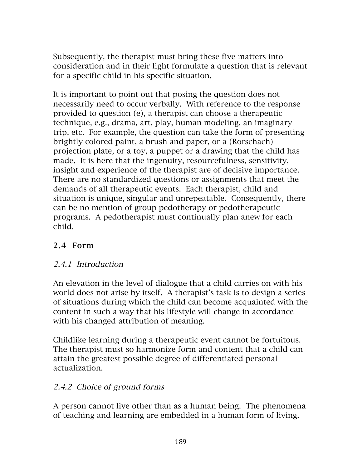Subsequently, the therapist must bring these five matters into consideration and in their light formulate a question that is relevant for a specific child in his specific situation.

It is important to point out that posing the question does not necessarily need to occur verbally. With reference to the response provided to question (e), a therapist can choose a therapeutic technique, e.g., drama, art, play, human modeling, an imaginary trip, etc. For example, the question can take the form of presenting brightly colored paint, a brush and paper, or a (Rorschach) projection plate, or a toy, a puppet or a drawing that the child has made. It is here that the ingenuity, resourcefulness, sensitivity, insight and experience of the therapist are of decisive importance. There are no standardized questions or assignments that meet the demands of all therapeutic events. Each therapist, child and situation is unique, singular and unrepeatable. Consequently, there can be no mention of group pedotherapy or pedotherapeutic programs. A pedotherapist must continually plan anew for each child.

# 2.4 Form

### 2.4.1 Introduction

An elevation in the level of dialogue that a child carries on with his world does not arise by itself. A therapist's task is to design a series of situations during which the child can become acquainted with the content in such a way that his lifestyle will change in accordance with his changed attribution of meaning.

Childlike learning during a therapeutic event cannot be fortuitous. The therapist must so harmonize form and content that a child can attain the greatest possible degree of differentiated personal actualization.

## 2.4.2 Choice of ground forms

A person cannot live other than as a human being. The phenomena of teaching and learning are embedded in a human form of living.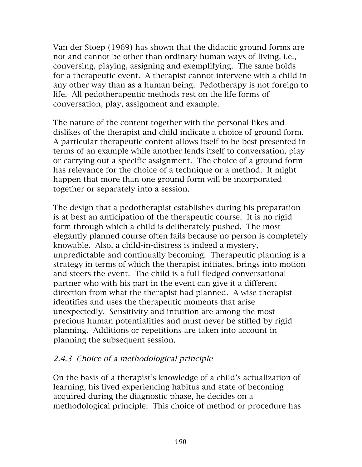Van der Stoep (1969) has shown that the didactic ground forms are not and cannot be other than ordinary human ways of living, i.e., conversing, playing, assigning and exemplifying. The same holds for a therapeutic event. A therapist cannot intervene with a child in any other way than as a human being. Pedotherapy is not foreign to life. All pedotherapeutic methods rest on the life forms of conversation, play, assignment and example.

The nature of the content together with the personal likes and dislikes of the therapist and child indicate a choice of ground form. A particular therapeutic content allows itself to be best presented in terms of an example while another lends itself to conversation, play or carrying out a specific assignment. The choice of a ground form has relevance for the choice of a technique or a method. It might happen that more than one ground form will be incorporated together or separately into a session.

The design that a pedotherapist establishes during his preparation is at best an anticipation of the therapeutic course. It is no rigid form through which a child is deliberately pushed. The most elegantly planned course often fails because no person is completely knowable. Also, a child-in-distress is indeed a mystery, unpredictable and continually becoming. Therapeutic planning is a strategy in terms of which the therapist initiates, brings into motion and steers the event. The child is a full-fledged conversational partner who with his part in the event can give it a different direction from what the therapist had planned. A wise therapist identifies and uses the therapeutic moments that arise unexpectedly. Sensitivity and intuition are among the most precious human potentialities and must never be stifled by rigid planning. Additions or repetitions are taken into account in planning the subsequent session.

### 2.4.3 Choice of a methodological principle

On the basis of a therapist's knowledge of a child's actualization of learning, his lived experiencing habitus and state of becoming acquired during the diagnostic phase, he decides on a methodological principle. This choice of method or procedure has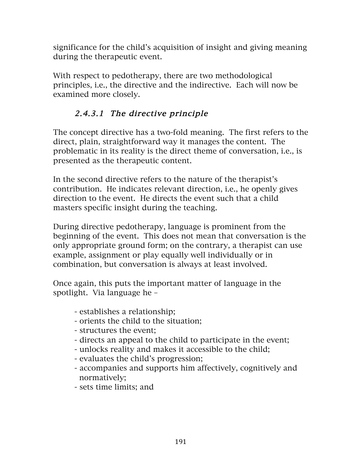significance for the child's acquisition of insight and giving meaning during the therapeutic event.

With respect to pedotherapy, there are two methodological principles, i.e., the directive and the indirective. Each will now be examined more closely.

# 2.4.3.1 The directive principle

The concept directive has a two-fold meaning. The first refers to the direct, plain, straightforward way it manages the content. The problematic in its reality is the direct theme of conversation, i.e., is presented as the therapeutic content.

In the second directive refers to the nature of the therapist's contribution. He indicates relevant direction, i.e., he openly gives direction to the event. He directs the event such that a child masters specific insight during the teaching.

During directive pedotherapy, language is prominent from the beginning of the event. This does not mean that conversation is the only appropriate ground form; on the contrary, a therapist can use example, assignment or play equally well individually or in combination, but conversation is always at least involved.

Once again, this puts the important matter of language in the spotlight. Via language he –

- establishes a relationship;
- orients the child to the situation;
- structures the event;
- directs an appeal to the child to participate in the event;
- unlocks reality and makes it accessible to the child;
- evaluates the child's progression;
- accompanies and supports him affectively, cognitively and normatively;
- sets time limits; and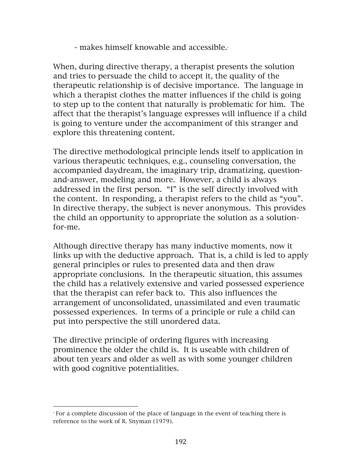$-$  makes himself knowable and accessible. $\cdot$ 

When, during directive therapy, a therapist presents the solution and tries to persuade the child to accept it, the quality of the therapeutic relationship is of decisive importance. The language in which a therapist clothes the matter influences if the child is going to step up to the content that naturally is problematic for him. The affect that the therapist's language expresses will influence if a child is going to venture under the accompaniment of this stranger and explore this threatening content.

The directive methodological principle lends itself to application in various therapeutic techniques, e.g., counseling conversation, the accompanied daydream, the imaginary trip, dramatizing, questionand-answer, modeling and more. However, a child is always addressed in the first person. "I" is the self directly involved with the content. In responding, a therapist refers to the child as "you". In directive therapy, the subject is never anonymous. This provides the child an opportunity to appropriate the solution as a solutionfor-me.

Although directive therapy has many inductive moments, now it links up with the deductive approach. That is, a child is led to apply general principles or rules to presented data and then draw appropriate conclusions. In the therapeutic situation, this assumes the child has a relatively extensive and varied possessed experience that the therapist can refer back to. This also influences the arrangement of unconsolidated, unassimilated and even traumatic possessed experiences. In terms of a principle or rule a child can put into perspective the still unordered data.

The directive principle of ordering figures with increasing prominence the older the child is. It is useable with children of about ten years and older as well as with some younger children with good cognitive potentialities.

 

<sup>•</sup> For a complete discussion of the place of language in the event of teaching there is reference to the work of R. Snyman (1979).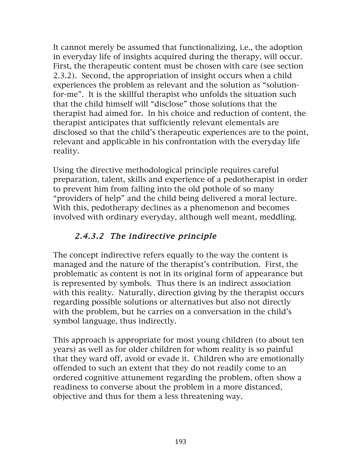It cannot merely be assumed that functionalizing, i.e., the adoption in everyday life of insights acquired during the therapy, will occur. First, the therapeutic content must be chosen with care (see section 2.3.2). Second, the appropriation of insight occurs when a child experiences the problem as relevant and the solution as "solutionfor-me". It is the skillful therapist who unfolds the situation such that the child himself will "disclose" those solutions that the therapist had aimed for. In his choice and reduction of content, the therapist anticipates that sufficiently relevant elementals are disclosed so that the child's therapeutic experiences are to the point, relevant and applicable in his confrontation with the everyday life reality.

Using the directive methodological principle requires careful preparation, talent, skills and experience of a pedotherapist in order to prevent him from falling into the old pothole of so many "providers of help" and the child being delivered a moral lecture. With this, pedotherapy declines as a phenomenon and becomes involved with ordinary everyday, although well meant, meddling.

# 2.4.3.2 The indirective principle

The concept indirective refers equally to the way the content is managed and the nature of the therapist's contribution. First, the problematic as content is not in its original form of appearance but is represented by symbols. Thus there is an indirect association with this reality. Naturally, direction giving by the therapist occurs regarding possible solutions or alternatives but also not directly with the problem, but he carries on a conversation in the child's symbol language, thus indirectly.

This approach is appropriate for most young children (to about ten years) as well as for older children for whom reality is so painful that they ward off, avoid or evade it. Children who are emotionally offended to such an extent that they do not readily come to an ordered cognitive attunement regarding the problem, often show a readiness to converse about the problem in a more distanced, objective and thus for them a less threatening way.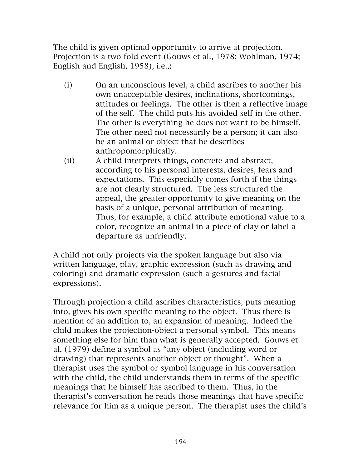The child is given optimal opportunity to arrive at projection. Projection is a two-fold event (Gouws et al., 1978; Wohlman, 1974; English and English, 1958), i.e.,:

- (i) On an unconscious level, a child ascribes to another his own unacceptable desires, inclinations, shortcomings, attitudes or feelings. The other is then a reflective image of the self. The child puts his avoided self in the other. The other is everything he does not want to be himself. The other need not necessarily be a person; it can also be an animal or object that he describes anthropomorphically.
- (ii) A child interprets things, concrete and abstract, according to his personal interests, desires, fears and expectations. This especially comes forth if the things are not clearly structured. The less structured the appeal, the greater opportunity to give meaning on the basis of a unique, personal attribution of meaning. Thus, for example, a child attribute emotional value to a color, recognize an animal in a piece of clay or label a departure as unfriendly.

A child not only projects via the spoken language but also via written language, play, graphic expression (such as drawing and coloring) and dramatic expression (such a gestures and facial expressions).

Through projection a child ascribes characteristics, puts meaning into, gives his own specific meaning to the object. Thus there is mention of an addition to, an expansion of meaning. Indeed the child makes the projection-object a personal symbol. This means something else for him than what is generally accepted. Gouws et al. (1979) define a symbol as "any object (including word or drawing) that represents another object or thought". When a therapist uses the symbol or symbol language in his conversation with the child, the child understands them in terms of the specific meanings that he himself has ascribed to them. Thus, in the therapist's conversation he reads those meanings that have specific relevance for him as a unique person. The therapist uses the child's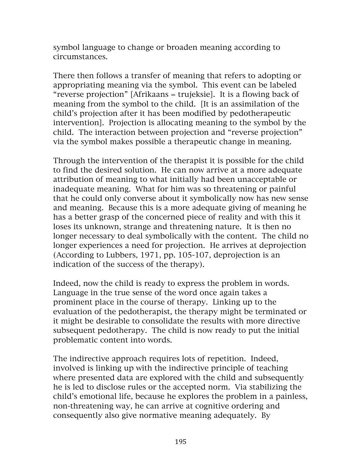symbol language to change or broaden meaning according to circumstances.

There then follows a transfer of meaning that refers to adopting or appropriating meaning via the symbol. This event can be labeled "reverse projection" [Afrikaans = trujeksie]. It is a flowing back of meaning from the symbol to the child. [It is an assimilation of the child's projection after it has been modified by pedotherapeutic intervention]. Projection is allocating meaning to the symbol by the child. The interaction between projection and "reverse projection" via the symbol makes possible a therapeutic change in meaning.

Through the intervention of the therapist it is possible for the child to find the desired solution. He can now arrive at a more adequate attribution of meaning to what initially had been unacceptable or inadequate meaning. What for him was so threatening or painful that he could only converse about it symbolically now has new sense and meaning. Because this is a more adequate giving of meaning he has a better grasp of the concerned piece of reality and with this it loses its unknown, strange and threatening nature. It is then no longer necessary to deal symbolically with the content. The child no longer experiences a need for projection. He arrives at deprojection (According to Lubbers, 1971, pp. 105-107, deprojection is an indication of the success of the therapy).

Indeed, now the child is ready to express the problem in words. Language in the true sense of the word once again takes a prominent place in the course of therapy. Linking up to the evaluation of the pedotherapist, the therapy might be terminated or it might be desirable to consolidate the results with more directive subsequent pedotherapy. The child is now ready to put the initial problematic content into words.

The indirective approach requires lots of repetition. Indeed, involved is linking up with the indirective principle of teaching where presented data are explored with the child and subsequently he is led to disclose rules or the accepted norm. Via stabilizing the child's emotional life, because he explores the problem in a painless, non-threatening way, he can arrive at cognitive ordering and consequently also give normative meaning adequately. By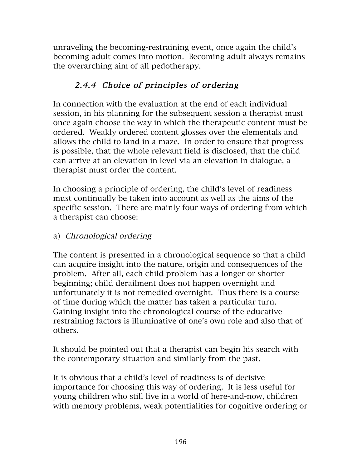unraveling the becoming-restraining event, once again the child's becoming adult comes into motion. Becoming adult always remains the overarching aim of all pedotherapy.

# 2.4.4 Choice of principles of ordering

In connection with the evaluation at the end of each individual session, in his planning for the subsequent session a therapist must once again choose the way in which the therapeutic content must be ordered. Weakly ordered content glosses over the elementals and allows the child to land in a maze. In order to ensure that progress is possible, that the whole relevant field is disclosed, that the child can arrive at an elevation in level via an elevation in dialogue, a therapist must order the content.

In choosing a principle of ordering, the child's level of readiness must continually be taken into account as well as the aims of the specific session. There are mainly four ways of ordering from which a therapist can choose:

### a) Chronological ordering

The content is presented in a chronological sequence so that a child can acquire insight into the nature, origin and consequences of the problem. After all, each child problem has a longer or shorter beginning; child derailment does not happen overnight and unfortunately it is not remedied overnight. Thus there is a course of time during which the matter has taken a particular turn. Gaining insight into the chronological course of the educative restraining factors is illuminative of one's own role and also that of others.

It should be pointed out that a therapist can begin his search with the contemporary situation and similarly from the past.

It is obvious that a child's level of readiness is of decisive importance for choosing this way of ordering. It is less useful for young children who still live in a world of here-and-now, children with memory problems, weak potentialities for cognitive ordering or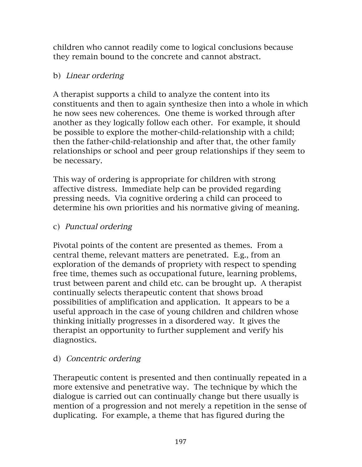children who cannot readily come to logical conclusions because they remain bound to the concrete and cannot abstract.

#### b) Linear ordering

A therapist supports a child to analyze the content into its constituents and then to again synthesize then into a whole in which he now sees new coherences. One theme is worked through after another as they logically follow each other. For example, it should be possible to explore the mother-child-relationship with a child; then the father-child-relationship and after that, the other family relationships or school and peer group relationships if they seem to be necessary.

This way of ordering is appropriate for children with strong affective distress. Immediate help can be provided regarding pressing needs. Via cognitive ordering a child can proceed to determine his own priorities and his normative giving of meaning.

### c) Punctual ordering

Pivotal points of the content are presented as themes. From a central theme, relevant matters are penetrated. E.g., from an exploration of the demands of propriety with respect to spending free time, themes such as occupational future, learning problems, trust between parent and child etc. can be brought up. A therapist continually selects therapeutic content that shows broad possibilities of amplification and application. It appears to be a useful approach in the case of young children and children whose thinking initially progresses in a disordered way. It gives the therapist an opportunity to further supplement and verify his diagnostics.

#### d) Concentric ordering

Therapeutic content is presented and then continually repeated in a more extensive and penetrative way. The technique by which the dialogue is carried out can continually change but there usually is mention of a progression and not merely a repetition in the sense of duplicating. For example, a theme that has figured during the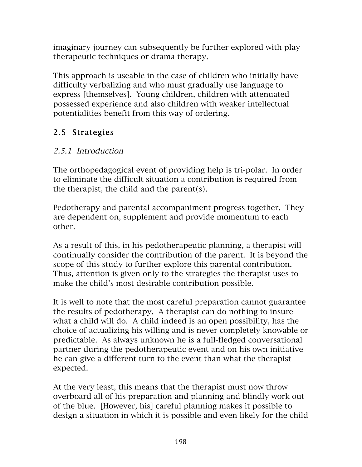imaginary journey can subsequently be further explored with play therapeutic techniques or drama therapy.

This approach is useable in the case of children who initially have difficulty verbalizing and who must gradually use language to express [themselves]. Young children, children with attenuated possessed experience and also children with weaker intellectual potentialities benefit from this way of ordering.

# 2.5 Strategies

## 2.5.1 Introduction

The orthopedagogical event of providing help is tri-polar. In order to eliminate the difficult situation a contribution is required from the therapist, the child and the parent(s).

Pedotherapy and parental accompaniment progress together. They are dependent on, supplement and provide momentum to each other.

As a result of this, in his pedotherapeutic planning, a therapist will continually consider the contribution of the parent. It is beyond the scope of this study to further explore this parental contribution. Thus, attention is given only to the strategies the therapist uses to make the child's most desirable contribution possible.

It is well to note that the most careful preparation cannot guarantee the results of pedotherapy. A therapist can do nothing to insure what a child will do. A child indeed is an open possibility, has the choice of actualizing his willing and is never completely knowable or predictable. As always unknown he is a full-fledged conversational partner during the pedotherapeutic event and on his own initiative he can give a different turn to the event than what the therapist expected.

At the very least, this means that the therapist must now throw overboard all of his preparation and planning and blindly work out of the blue. [However, his] careful planning makes it possible to design a situation in which it is possible and even likely for the child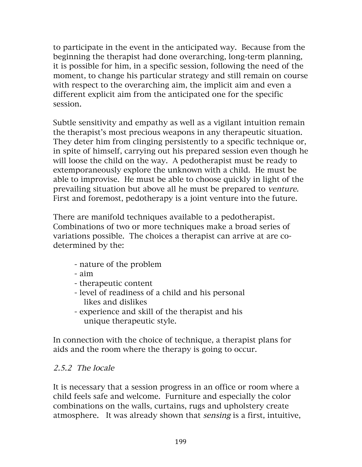to participate in the event in the anticipated way. Because from the beginning the therapist had done overarching, long-term planning, it is possible for him, in a specific session, following the need of the moment, to change his particular strategy and still remain on course with respect to the overarching aim, the implicit aim and even a different explicit aim from the anticipated one for the specific session.

Subtle sensitivity and empathy as well as a vigilant intuition remain the therapist's most precious weapons in any therapeutic situation. They deter him from clinging persistently to a specific technique or, in spite of himself, carrying out his prepared session even though he will loose the child on the way. A pedotherapist must be ready to extemporaneously explore the unknown with a child. He must be able to improvise. He must be able to choose quickly in light of the prevailing situation but above all he must be prepared to venture. First and foremost, pedotherapy is a joint venture into the future.

There are manifold techniques available to a pedotherapist. Combinations of two or more techniques make a broad series of variations possible. The choices a therapist can arrive at are codetermined by the:

- nature of the problem
- aim
- therapeutic content
- level of readiness of a child and his personal likes and dislikes
- experience and skill of the therapist and his unique therapeutic style.

In connection with the choice of technique, a therapist plans for aids and the room where the therapy is going to occur.

## 2.5.2 The locale

It is necessary that a session progress in an office or room where a child feels safe and welcome. Furniture and especially the color combinations on the walls, curtains, rugs and upholstery create atmosphere. It was already shown that sensing is a first, intuitive,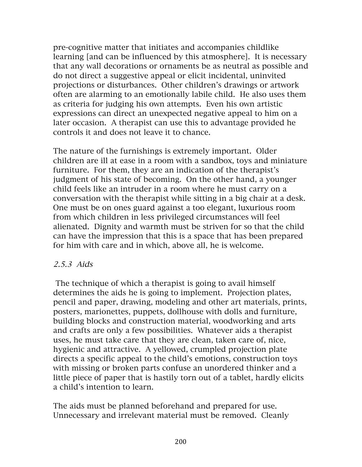pre-cognitive matter that initiates and accompanies childlike learning [and can be influenced by this atmosphere]. It is necessary that any wall decorations or ornaments be as neutral as possible and do not direct a suggestive appeal or elicit incidental, uninvited projections or disturbances. Other children's drawings or artwork often are alarming to an emotionally labile child. He also uses them as criteria for judging his own attempts. Even his own artistic expressions can direct an unexpected negative appeal to him on a later occasion. A therapist can use this to advantage provided he controls it and does not leave it to chance.

The nature of the furnishings is extremely important. Older children are ill at ease in a room with a sandbox, toys and miniature furniture. For them, they are an indication of the therapist's judgment of his state of becoming. On the other hand, a younger child feels like an intruder in a room where he must carry on a conversation with the therapist while sitting in a big chair at a desk. One must be on ones guard against a too elegant, luxurious room from which children in less privileged circumstances will feel alienated. Dignity and warmth must be striven for so that the child can have the impression that this is a space that has been prepared for him with care and in which, above all, he is welcome.

#### 2.5.3 Aids

The technique of which a therapist is going to avail himself determines the aids he is going to implement. Projection plates, pencil and paper, drawing, modeling and other art materials, prints, posters, marionettes, puppets, dollhouse with dolls and furniture, building blocks and construction material, woodworking and arts and crafts are only a few possibilities. Whatever aids a therapist uses, he must take care that they are clean, taken care of, nice, hygienic and attractive. A yellowed, crumpled projection plate directs a specific appeal to the child's emotions, construction toys with missing or broken parts confuse an unordered thinker and a little piece of paper that is hastily torn out of a tablet, hardly elicits a child's intention to learn.

The aids must be planned beforehand and prepared for use. Unnecessary and irrelevant material must be removed. Cleanly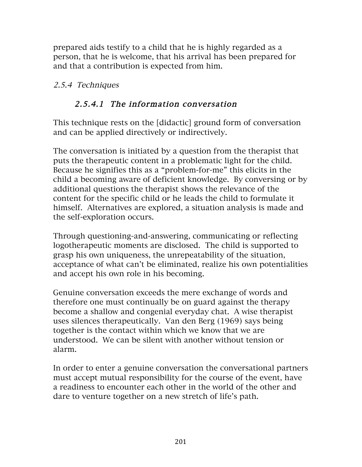prepared aids testify to a child that he is highly regarded as a person, that he is welcome, that his arrival has been prepared for and that a contribution is expected from him.

### 2.5.4 Techniques

### 2.5.4.1 The information conversation

This technique rests on the [didactic] ground form of conversation and can be applied directively or indirectively.

The conversation is initiated by a question from the therapist that puts the therapeutic content in a problematic light for the child. Because he signifies this as a "problem-for-me" this elicits in the child a becoming aware of deficient knowledge. By conversing or by additional questions the therapist shows the relevance of the content for the specific child or he leads the child to formulate it himself. Alternatives are explored, a situation analysis is made and the self-exploration occurs.

Through questioning-and-answering, communicating or reflecting logotherapeutic moments are disclosed. The child is supported to grasp his own uniqueness, the unrepeatability of the situation, acceptance of what can't be eliminated, realize his own potentialities and accept his own role in his becoming.

Genuine conversation exceeds the mere exchange of words and therefore one must continually be on guard against the therapy become a shallow and congenial everyday chat. A wise therapist uses silences therapeutically. Van den Berg (1969) says being together is the contact within which we know that we are understood. We can be silent with another without tension or alarm.

In order to enter a genuine conversation the conversational partners must accept mutual responsibility for the course of the event, have a readiness to encounter each other in the world of the other and dare to venture together on a new stretch of life's path.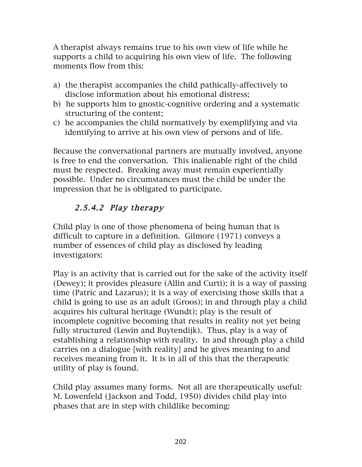A therapist always remains true to his own view of life while he supports a child to acquiring his own view of life. The following moments flow from this:

- a) the therapist accompanies the child pathically-affectively to disclose information about his emotional distress;
- b) he supports him to gnostic-cognitive ordering and a systematic structuring of the content;
- c) he accompanies the child normatively by exemplifying and via identifying to arrive at his own view of persons and of life.

Because the conversational partners are mutually involved, anyone is free to end the conversation. This inalienable right of the child must be respected. Breaking away must remain experientially possible. Under no circumstances must the child be under the impression that he is obligated to participate.

# 2.5.4.2 Play therapy

Child play is one of those phenomena of being human that is difficult to capture in a definition. Gilmore (1971) conveys a number of essences of child play as disclosed by leading investigators:

Play is an activity that is carried out for the sake of the activity itself (Dewey); it provides pleasure (Allin and Curti); it is a way of passing time (Patric and Lazarus); it is a way of exercising those skills that a child is going to use as an adult (Groos); in and through play a child acquires his cultural heritage (Wundt); play is the result of incomplete cognitive becoming that results in reality not yet being fully structured (Lewin and Buytendijk). Thus, play is a way of establishing a relationship with reality. In and through play a child carries on a dialogue [with reality] and he gives meaning to and receives meaning from it. It is in all of this that the therapeutic utility of play is found.

Child play assumes many forms. Not all are therapeutically useful: M. Lowenfeld (Jackson and Todd, 1950) divides child play into phases that are in step with childlike becoming: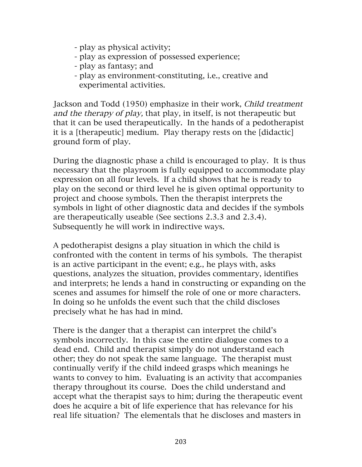- play as physical activity;
- play as expression of possessed experience;
- play as fantasy; and
- play as environment-constituting, i.e., creative and experimental activities.

Jackson and Todd (1950) emphasize in their work, Child treatment and the therapy of play, that play, in itself, is not therapeutic but that it can be used therapeutically. In the hands of a pedotherapist it is a [therapeutic] medium. Play therapy rests on the [didactic] ground form of play.

During the diagnostic phase a child is encouraged to play. It is thus necessary that the playroom is fully equipped to accommodate play expression on all four levels. If a child shows that he is ready to play on the second or third level he is given optimal opportunity to project and choose symbols. Then the therapist interprets the symbols in light of other diagnostic data and decides if the symbols are therapeutically useable (See sections 2.3.3 and 2.3.4). Subsequently he will work in indirective ways.

A pedotherapist designs a play situation in which the child is confronted with the content in terms of his symbols. The therapist is an active participant in the event; e.g., he plays with, asks questions, analyzes the situation, provides commentary, identifies and interprets; he lends a hand in constructing or expanding on the scenes and assumes for himself the role of one or more characters. In doing so he unfolds the event such that the child discloses precisely what he has had in mind.

There is the danger that a therapist can interpret the child's symbols incorrectly. In this case the entire dialogue comes to a dead end. Child and therapist simply do not understand each other; they do not speak the same language. The therapist must continually verify if the child indeed grasps which meanings he wants to convey to him. Evaluating is an activity that accompanies therapy throughout its course. Does the child understand and accept what the therapist says to him; during the therapeutic event does he acquire a bit of life experience that has relevance for his real life situation? The elementals that he discloses and masters in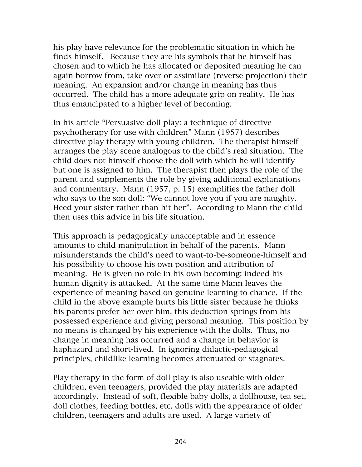his play have relevance for the problematic situation in which he finds himself. Because they are his symbols that he himself has chosen and to which he has allocated or deposited meaning he can again borrow from, take over or assimilate (reverse projection) their meaning. An expansion and/or change in meaning has thus occurred. The child has a more adequate grip on reality. He has thus emancipated to a higher level of becoming.

In his article "Persuasive doll play: a technique of directive psychotherapy for use with children" Mann (1957) describes directive play therapy with young children. The therapist himself arranges the play scene analogous to the child's real situation. The child does not himself choose the doll with which he will identify but one is assigned to him. The therapist then plays the role of the parent and supplements the role by giving additional explanations and commentary. Mann (1957, p. 15) exemplifies the father doll who says to the son doll: "We cannot love you if you are naughty. Heed your sister rather than hit her". According to Mann the child then uses this advice in his life situation.

This approach is pedagogically unacceptable and in essence amounts to child manipulation in behalf of the parents. Mann misunderstands the child's need to want-to-be-someone-himself and his possibility to choose his own position and attribution of meaning. He is given no role in his own becoming; indeed his human dignity is attacked. At the same time Mann leaves the experience of meaning based on genuine learning to chance. If the child in the above example hurts his little sister because he thinks his parents prefer her over him, this deduction springs from his possessed experience and giving personal meaning. This position by no means is changed by his experience with the dolls. Thus, no change in meaning has occurred and a change in behavior is haphazard and short-lived. In ignoring didactic-pedagogical principles, childlike learning becomes attenuated or stagnates.

Play therapy in the form of doll play is also useable with older children, even teenagers, provided the play materials are adapted accordingly. Instead of soft, flexible baby dolls, a dollhouse, tea set, doll clothes, feeding bottles, etc. dolls with the appearance of older children, teenagers and adults are used. A large variety of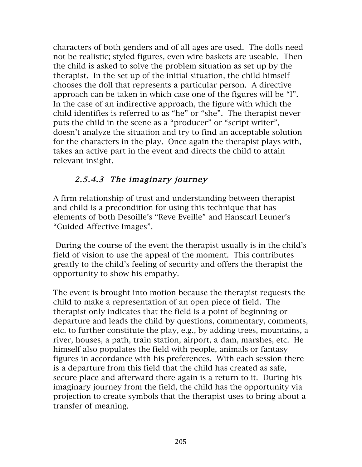characters of both genders and of all ages are used. The dolls need not be realistic; styled figures, even wire baskets are useable. Then the child is asked to solve the problem situation as set up by the therapist. In the set up of the initial situation, the child himself chooses the doll that represents a particular person. A directive approach can be taken in which case one of the figures will be "I". In the case of an indirective approach, the figure with which the child identifies is referred to as "he" or "she". The therapist never puts the child in the scene as a "producer" or "script writer", doesn't analyze the situation and try to find an acceptable solution for the characters in the play. Once again the therapist plays with, takes an active part in the event and directs the child to attain relevant insight.

### 2.5.4.3 The imaginary journey

A firm relationship of trust and understanding between therapist and child is a precondition for using this technique that has elements of both Desoille's "Reve Eveille" and Hanscarl Leuner's "Guided-Affective Images".

During the course of the event the therapist usually is in the child's field of vision to use the appeal of the moment. This contributes greatly to the child's feeling of security and offers the therapist the opportunity to show his empathy.

The event is brought into motion because the therapist requests the child to make a representation of an open piece of field. The therapist only indicates that the field is a point of beginning or departure and leads the child by questions, commentary, comments, etc. to further constitute the play, e.g., by adding trees, mountains, a river, houses, a path, train station, airport, a dam, marshes, etc. He himself also populates the field with people, animals or fantasy figures in accordance with his preferences. With each session there is a departure from this field that the child has created as safe, secure place and afterward there again is a return to it. During his imaginary journey from the field, the child has the opportunity via projection to create symbols that the therapist uses to bring about a transfer of meaning.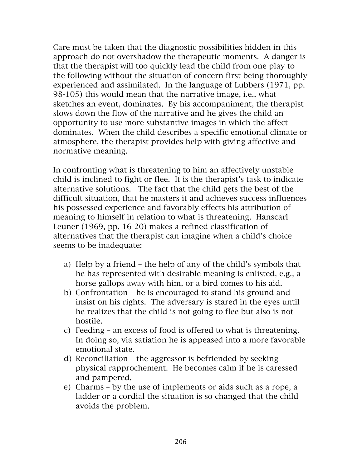Care must be taken that the diagnostic possibilities hidden in this approach do not overshadow the therapeutic moments. A danger is that the therapist will too quickly lead the child from one play to the following without the situation of concern first being thoroughly experienced and assimilated. In the language of Lubbers (1971, pp. 98-105) this would mean that the narrative image, i.e., what sketches an event, dominates. By his accompaniment, the therapist slows down the flow of the narrative and he gives the child an opportunity to use more substantive images in which the affect dominates. When the child describes a specific emotional climate or atmosphere, the therapist provides help with giving affective and normative meaning.

In confronting what is threatening to him an affectively unstable child is inclined to fight or flee. It is the therapist's task to indicate alternative solutions. The fact that the child gets the best of the difficult situation, that he masters it and achieves success influences his possessed experience and favorably effects his attribution of meaning to himself in relation to what is threatening. Hanscarl Leuner (1969, pp. 16-20) makes a refined classification of alternatives that the therapist can imagine when a child's choice seems to be inadequate:

- a) Help by a friend the help of any of the child's symbols that he has represented with desirable meaning is enlisted, e.g., a horse gallops away with him, or a bird comes to his aid.
- b) Confrontation he is encouraged to stand his ground and insist on his rights. The adversary is stared in the eyes until he realizes that the child is not going to flee but also is not hostile.
- c) Feeding an excess of food is offered to what is threatening. In doing so, via satiation he is appeased into a more favorable emotional state.
- d) Reconciliation the aggressor is befriended by seeking physical rapprochement. He becomes calm if he is caressed and pampered.
- e) Charms by the use of implements or aids such as a rope, a ladder or a cordial the situation is so changed that the child avoids the problem.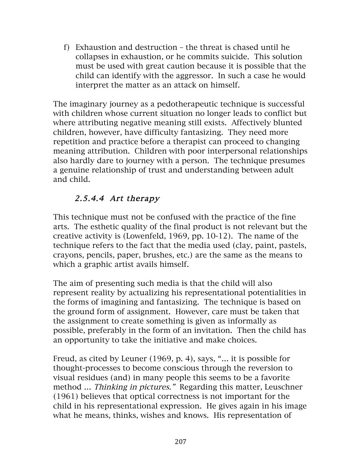f) Exhaustion and destruction – the threat is chased until he collapses in exhaustion, or he commits suicide. This solution must be used with great caution because it is possible that the child can identify with the aggressor. In such a case he would interpret the matter as an attack on himself.

The imaginary journey as a pedotherapeutic technique is successful with children whose current situation no longer leads to conflict but where attributing negative meaning still exists. Affectively blunted children, however, have difficulty fantasizing. They need more repetition and practice before a therapist can proceed to changing meaning attribution. Children with poor interpersonal relationships also hardly dare to journey with a person. The technique presumes a genuine relationship of trust and understanding between adult and child.

# 2.5.4.4 Art therapy

This technique must not be confused with the practice of the fine arts. The esthetic quality of the final product is not relevant but the creative activity is (Lowenfeld, 1969, pp. 10-12). The name of the technique refers to the fact that the media used (clay, paint, pastels, crayons, pencils, paper, brushes, etc.) are the same as the means to which a graphic artist avails himself.

The aim of presenting such media is that the child will also represent reality by actualizing his representational potentialities in the forms of imagining and fantasizing. The technique is based on the ground form of assignment. However, care must be taken that the assignment to create something is given as informally as possible, preferably in the form of an invitation. Then the child has an opportunity to take the initiative and make choices.

Freud, as cited by Leuner (1969, p. 4), says, "… it is possible for thought-processes to become conscious through the reversion to visual residues (and) in many people this seems to be a favorite method … Thinking in pictures." Regarding this matter, Leuschner (1961) believes that optical correctness is not important for the child in his representational expression. He gives again in his image what he means, thinks, wishes and knows. His representation of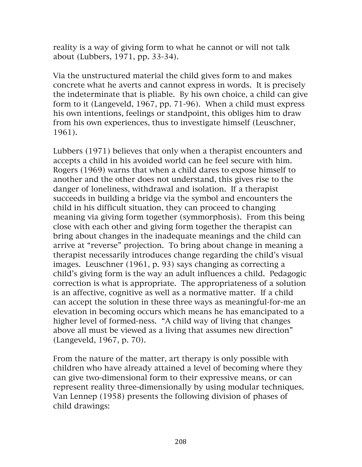reality is a way of giving form to what he cannot or will not talk about (Lubbers, 1971, pp. 33-34).

Via the unstructured material the child gives form to and makes concrete what he averts and cannot express in words. It is precisely the indeterminate that is pliable. By his own choice, a child can give form to it (Langeveld, 1967, pp. 71-96). When a child must express his own intentions, feelings or standpoint, this obliges him to draw from his own experiences, thus to investigate himself (Leuschner, 1961).

Lubbers (1971) believes that only when a therapist encounters and accepts a child in his avoided world can he feel secure with him. Rogers (1969) warns that when a child dares to expose himself to another and the other does not understand, this gives rise to the danger of loneliness, withdrawal and isolation. If a therapist succeeds in building a bridge via the symbol and encounters the child in his difficult situation, they can proceed to changing meaning via giving form together (symmorphosis). From this being close with each other and giving form together the therapist can bring about changes in the inadequate meanings and the child can arrive at "reverse" projection. To bring about change in meaning a therapist necessarily introduces change regarding the child's visual images. Leuschner (1961, p. 93) says changing as correcting a child's giving form is the way an adult influences a child. Pedagogic correction is what is appropriate. The appropriateness of a solution is an affective, cognitive as well as a normative matter. If a child can accept the solution in these three ways as meaningful-for-me an elevation in becoming occurs which means he has emancipated to a higher level of formed-ness. "A child way of living that changes above all must be viewed as a living that assumes new direction" (Langeveld, 1967, p. 70).

From the nature of the matter, art therapy is only possible with children who have already attained a level of becoming where they can give two-dimensional form to their expressive means, or can represent reality three-dimensionally by using modular techniques. Van Lennep (1958) presents the following division of phases of child drawings: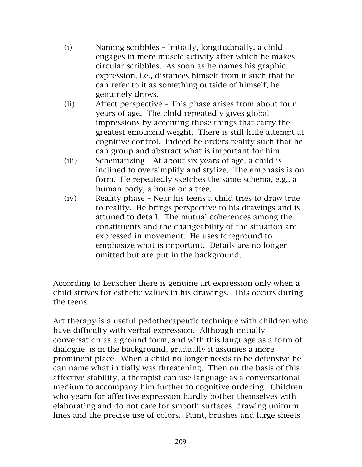- (i) Naming scribbles Initially, longitudinally, a child engages in mere muscle activity after which he makes circular scribbles. As soon as he names his graphic expression, i.e., distances himself from it such that he can refer to it as something outside of himself, he genuinely draws.
- (ii) Affect perspective This phase arises from about four years of age. The child repeatedly gives global impressions by accenting those things that carry the greatest emotional weight. There is still little attempt at cognitive control. Indeed he orders reality such that he can group and abstract what is important for him.
- (iii) Schematizing At about six years of age, a child is inclined to oversimplify and stylize. The emphasis is on form. He repeatedly sketches the same schema, e.g., a human body, a house or a tree.
- (iv) Reality phase Near his teens a child tries to draw true to reality. He brings perspective to his drawings and is attuned to detail. The mutual coherences among the constituents and the changeability of the situation are expressed in movement. He uses foreground to emphasize what is important. Details are no longer omitted but are put in the background.

According to Leuscher there is genuine art expression only when a child strives for esthetic values in his drawings. This occurs during the teens.

Art therapy is a useful pedotherapeutic technique with children who have difficulty with verbal expression. Although initially conversation as a ground form, and with this language as a form of dialogue, is in the background, gradually it assumes a more prominent place. When a child no longer needs to be defensive he can name what initially was threatening. Then on the basis of this affective stability, a therapist can use language as a conversational medium to accompany him further to cognitive ordering. Children who yearn for affective expression hardly bother themselves with elaborating and do not care for smooth surfaces, drawing uniform lines and the precise use of colors. Paint, brushes and large sheets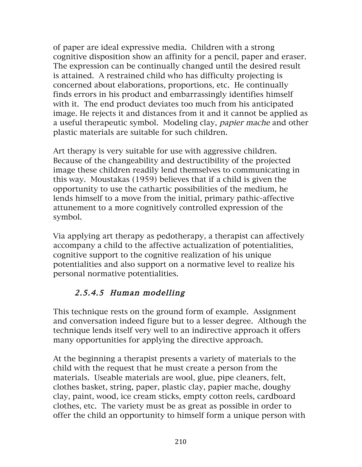of paper are ideal expressive media. Children with a strong cognitive disposition show an affinity for a pencil, paper and eraser. The expression can be continually changed until the desired result is attained. A restrained child who has difficulty projecting is concerned about elaborations, proportions, etc. He continually finds errors in his product and embarrassingly identifies himself with it. The end product deviates too much from his anticipated image. He rejects it and distances from it and it cannot be applied as a useful therapeutic symbol. Modeling clay, papier mache and other plastic materials are suitable for such children.

Art therapy is very suitable for use with aggressive children. Because of the changeability and destructibility of the projected image these children readily lend themselves to communicating in this way. Moustakas (1959) believes that if a child is given the opportunity to use the cathartic possibilities of the medium, he lends himself to a move from the initial, primary pathic-affective attunement to a more cognitively controlled expression of the symbol.

Via applying art therapy as pedotherapy, a therapist can affectively accompany a child to the affective actualization of potentialities, cognitive support to the cognitive realization of his unique potentialities and also support on a normative level to realize his personal normative potentialities.

# 2.5.4.5 Human modelling

This technique rests on the ground form of example. Assignment and conversation indeed figure but to a lesser degree. Although the technique lends itself very well to an indirective approach it offers many opportunities for applying the directive approach.

At the beginning a therapist presents a variety of materials to the child with the request that he must create a person from the materials. Useable materials are wool, glue, pipe cleaners, felt, clothes basket, string, paper, plastic clay, papier mache, doughy clay, paint, wood, ice cream sticks, empty cotton reels, cardboard clothes, etc. The variety must be as great as possible in order to offer the child an opportunity to himself form a unique person with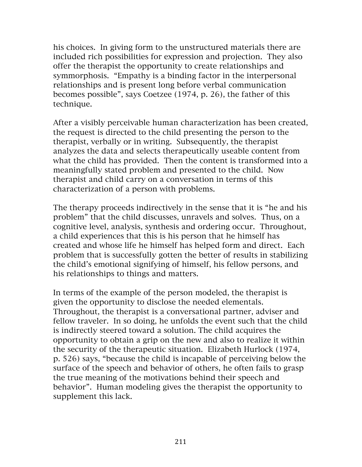his choices. In giving form to the unstructured materials there are included rich possibilities for expression and projection. They also offer the therapist the opportunity to create relationships and symmorphosis. "Empathy is a binding factor in the interpersonal relationships and is present long before verbal communication becomes possible", says Coetzee (1974, p. 26), the father of this technique.

After a visibly perceivable human characterization has been created, the request is directed to the child presenting the person to the therapist, verbally or in writing. Subsequently, the therapist analyzes the data and selects therapeutically useable content from what the child has provided. Then the content is transformed into a meaningfully stated problem and presented to the child. Now therapist and child carry on a conversation in terms of this characterization of a person with problems.

The therapy proceeds indirectively in the sense that it is "he and his problem" that the child discusses, unravels and solves. Thus, on a cognitive level, analysis, synthesis and ordering occur. Throughout, a child experiences that this is his person that he himself has created and whose life he himself has helped form and direct. Each problem that is successfully gotten the better of results in stabilizing the child's emotional signifying of himself, his fellow persons, and his relationships to things and matters.

In terms of the example of the person modeled, the therapist is given the opportunity to disclose the needed elementals. Throughout, the therapist is a conversational partner, adviser and fellow traveler. In so doing, he unfolds the event such that the child is indirectly steered toward a solution. The child acquires the opportunity to obtain a grip on the new and also to realize it within the security of the therapeutic situation. Elizabeth Hurlock (1974, p. 526) says, "because the child is incapable of perceiving below the surface of the speech and behavior of others, he often fails to grasp the true meaning of the motivations behind their speech and behavior". Human modeling gives the therapist the opportunity to supplement this lack.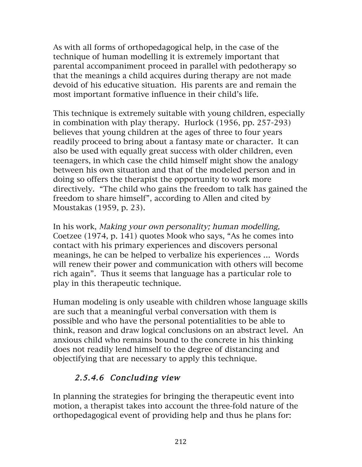As with all forms of orthopedagogical help, in the case of the technique of human modelling it is extremely important that parental accompaniment proceed in parallel with pedotherapy so that the meanings a child acquires during therapy are not made devoid of his educative situation. His parents are and remain the most important formative influence in their child's life.

This technique is extremely suitable with young children, especially in combination with play therapy. Hurlock (1956, pp. 257-293) believes that young children at the ages of three to four years readily proceed to bring about a fantasy mate or character. It can also be used with equally great success with older children, even teenagers, in which case the child himself might show the analogy between his own situation and that of the modeled person and in doing so offers the therapist the opportunity to work more directively. "The child who gains the freedom to talk has gained the freedom to share himself", according to Allen and cited by Moustakas (1959, p. 23).

In his work, Making your own personality; human modelling, Coetzee (1974, p. 141) quotes Mook who says, "As he comes into contact with his primary experiences and discovers personal meanings, he can be helped to verbalize his experiences … Words will renew their power and communication with others will become rich again". Thus it seems that language has a particular role to play in this therapeutic technique.

Human modeling is only useable with children whose language skills are such that a meaningful verbal conversation with them is possible and who have the personal potentialities to be able to think, reason and draw logical conclusions on an abstract level. An anxious child who remains bound to the concrete in his thinking does not readily lend himself to the degree of distancing and objectifying that are necessary to apply this technique.

# 2.5.4.6 Concluding view

In planning the strategies for bringing the therapeutic event into motion, a therapist takes into account the three-fold nature of the orthopedagogical event of providing help and thus he plans for: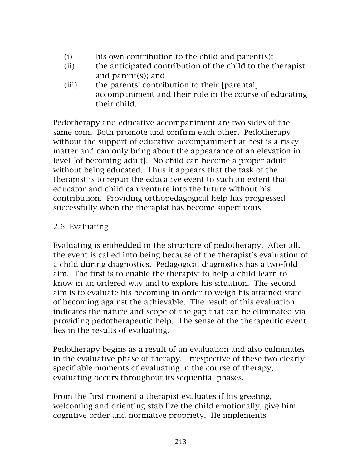- (i) his own contribution to the child and parent(s);
- (ii) the anticipated contribution of the child to the therapist and parent(s); and
- (iii) the parents' contribution to their [parental] accompaniment and their role in the course of educating their child.

Pedotherapy and educative accompaniment are two sides of the same coin. Both promote and confirm each other. Pedotherapy without the support of educative accompaniment at best is a risky matter and can only bring about the appearance of an elevation in level [of becoming adult]. No child can become a proper adult without being educated. Thus it appears that the task of the therapist is to repair the educative event to such an extent that educator and child can venture into the future without his contribution. Providing orthopedagogical help has progressed successfully when the therapist has become superfluous.

### 2.6 Evaluating

Evaluating is embedded in the structure of pedotherapy. After all, the event is called into being because of the therapist's evaluation of a child during diagnostics. Pedagogical diagnostics has a two-fold aim. The first is to enable the therapist to help a child learn to know in an ordered way and to explore his situation. The second aim is to evaluate his becoming in order to weigh his attained state of becoming against the achievable. The result of this evaluation indicates the nature and scope of the gap that can be eliminated via providing pedotherapeutic help. The sense of the therapeutic event lies in the results of evaluating.

Pedotherapy begins as a result of an evaluation and also culminates in the evaluative phase of therapy. Irrespective of these two clearly specifiable moments of evaluating in the course of therapy, evaluating occurs throughout its sequential phases.

From the first moment a therapist evaluates if his greeting, welcoming and orienting stabilize the child emotionally, give him cognitive order and normative propriety. He implements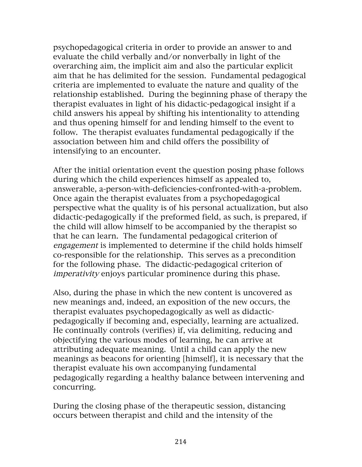psychopedagogical criteria in order to provide an answer to and evaluate the child verbally and/or nonverbally in light of the overarching aim, the implicit aim and also the particular explicit aim that he has delimited for the session. Fundamental pedagogical criteria are implemented to evaluate the nature and quality of the relationship established. During the beginning phase of therapy the therapist evaluates in light of his didactic-pedagogical insight if a child answers his appeal by shifting his intentionality to attending and thus opening himself for and lending himself to the event to follow. The therapist evaluates fundamental pedagogically if the association between him and child offers the possibility of intensifying to an encounter.

After the initial orientation event the question posing phase follows during which the child experiences himself as appealed to, answerable, a-person-with-deficiencies-confronted-with-a-problem. Once again the therapist evaluates from a psychopedagogical perspective what the quality is of his personal actualization, but also didactic-pedagogically if the preformed field, as such, is prepared, if the child will allow himself to be accompanied by the therapist so that he can learn. The fundamental pedagogical criterion of engagement is implemented to determine if the child holds himself co-responsible for the relationship. This serves as a precondition for the following phase. The didactic-pedagogical criterion of imperativity enjoys particular prominence during this phase.

Also, during the phase in which the new content is uncovered as new meanings and, indeed, an exposition of the new occurs, the therapist evaluates psychopedagogically as well as didacticpedagogically if becoming and, especially, learning are actualized. He continually controls (verifies) if, via delimiting, reducing and objectifying the various modes of learning, he can arrive at attributing adequate meaning. Until a child can apply the new meanings as beacons for orienting [himself], it is necessary that the therapist evaluate his own accompanying fundamental pedagogically regarding a healthy balance between intervening and concurring.

During the closing phase of the therapeutic session, distancing occurs between therapist and child and the intensity of the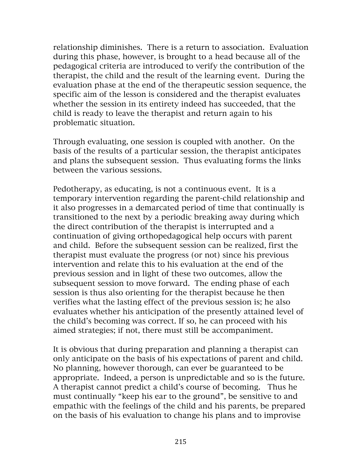relationship diminishes. There is a return to association. Evaluation during this phase, however, is brought to a head because all of the pedagogical criteria are introduced to verify the contribution of the therapist, the child and the result of the learning event. During the evaluation phase at the end of the therapeutic session sequence, the specific aim of the lesson is considered and the therapist evaluates whether the session in its entirety indeed has succeeded, that the child is ready to leave the therapist and return again to his problematic situation.

Through evaluating, one session is coupled with another. On the basis of the results of a particular session, the therapist anticipates and plans the subsequent session. Thus evaluating forms the links between the various sessions.

Pedotherapy, as educating, is not a continuous event. It is a temporary intervention regarding the parent-child relationship and it also progresses in a demarcated period of time that continually is transitioned to the next by a periodic breaking away during which the direct contribution of the therapist is interrupted and a continuation of giving orthopedagogical help occurs with parent and child. Before the subsequent session can be realized, first the therapist must evaluate the progress (or not) since his previous intervention and relate this to his evaluation at the end of the previous session and in light of these two outcomes, allow the subsequent session to move forward. The ending phase of each session is thus also orienting for the therapist because he then verifies what the lasting effect of the previous session is; he also evaluates whether his anticipation of the presently attained level of the child's becoming was correct. If so, he can proceed with his aimed strategies; if not, there must still be accompaniment.

It is obvious that during preparation and planning a therapist can only anticipate on the basis of his expectations of parent and child. No planning, however thorough, can ever be guaranteed to be appropriate. Indeed, a person is unpredictable and so is the future. A therapist cannot predict a child's course of becoming. Thus he must continually "keep his ear to the ground", be sensitive to and empathic with the feelings of the child and his parents, be prepared on the basis of his evaluation to change his plans and to improvise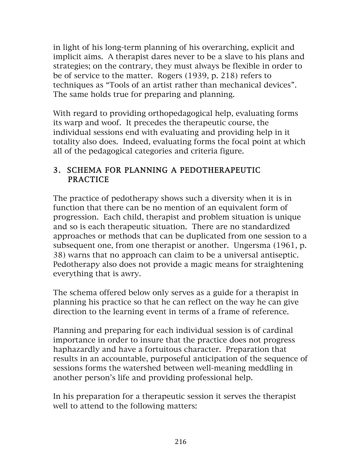in light of his long-term planning of his overarching, explicit and implicit aims. A therapist dares never to be a slave to his plans and strategies; on the contrary, they must always be flexible in order to be of service to the matter. Rogers (1939, p. 218) refers to techniques as "Tools of an artist rather than mechanical devices". The same holds true for preparing and planning.

With regard to providing orthopedagogical help, evaluating forms its warp and woof. It precedes the therapeutic course, the individual sessions end with evaluating and providing help in it totality also does. Indeed, evaluating forms the focal point at which all of the pedagogical categories and criteria figure.

#### 3. SCHEMA FOR PLANNING A PEDOTHERAPEUTIC PRACTICE

The practice of pedotherapy shows such a diversity when it is in function that there can be no mention of an equivalent form of progression. Each child, therapist and problem situation is unique and so is each therapeutic situation. There are no standardized approaches or methods that can be duplicated from one session to a subsequent one, from one therapist or another. Ungersma (1961, p. 38) warns that no approach can claim to be a universal antiseptic. Pedotherapy also does not provide a magic means for straightening everything that is awry.

The schema offered below only serves as a guide for a therapist in planning his practice so that he can reflect on the way he can give direction to the learning event in terms of a frame of reference.

Planning and preparing for each individual session is of cardinal importance in order to insure that the practice does not progress haphazardly and have a fortuitous character. Preparation that results in an accountable, purposeful anticipation of the sequence of sessions forms the watershed between well-meaning meddling in another person's life and providing professional help.

In his preparation for a therapeutic session it serves the therapist well to attend to the following matters: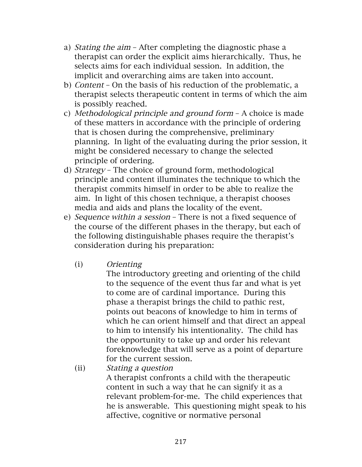- a) Stating the aim After completing the diagnostic phase a therapist can order the explicit aims hierarchically. Thus, he selects aims for each individual session. In addition, the implicit and overarching aims are taken into account.
- b) Content On the basis of his reduction of the problematic, a therapist selects therapeutic content in terms of which the aim is possibly reached.
- c) Methodological principle and ground form A choice is made of these matters in accordance with the principle of ordering that is chosen during the comprehensive, preliminary planning. In light of the evaluating during the prior session, it might be considered necessary to change the selected principle of ordering.
- d) Strategy The choice of ground form, methodological principle and content illuminates the technique to which the therapist commits himself in order to be able to realize the aim. In light of this chosen technique, a therapist chooses media and aids and plans the locality of the event.
- e) Sequence within a session There is not a fixed sequence of the course of the different phases in the therapy, but each of the following distinguishable phases require the therapist's consideration during his preparation:
	- (i) Orienting

The introductory greeting and orienting of the child to the sequence of the event thus far and what is yet to come are of cardinal importance. During this phase a therapist brings the child to pathic rest, points out beacons of knowledge to him in terms of which he can orient himself and that direct an appeal to him to intensify his intentionality. The child has the opportunity to take up and order his relevant foreknowledge that will serve as a point of departure for the current session.

(ii) Stating a question A therapist confronts a child with the therapeutic content in such a way that he can signify it as a relevant problem-for-me. The child experiences that he is answerable. This questioning might speak to his affective, cognitive or normative personal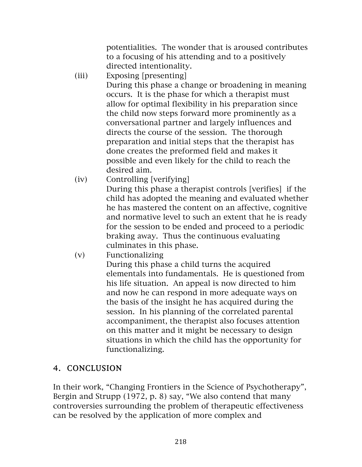potentialities. The wonder that is aroused contributes to a focusing of his attending and to a positively directed intentionality.

- (iii) Exposing [presenting] During this phase a change or broadening in meaning occurs. It is the phase for which a therapist must allow for optimal flexibility in his preparation since the child now steps forward more prominently as a conversational partner and largely influences and directs the course of the session. The thorough preparation and initial steps that the therapist has done creates the preformed field and makes it possible and even likely for the child to reach the desired aim.
- (iv) Controlling [verifying] During this phase a therapist controls [verifies] if the child has adopted the meaning and evaluated whether he has mastered the content on an affective, cognitive and normative level to such an extent that he is ready for the session to be ended and proceed to a periodic braking away. Thus the continuous evaluating culminates in this phase.
- (v) Functionalizing

During this phase a child turns the acquired elementals into fundamentals. He is questioned from his life situation. An appeal is now directed to him and now he can respond in more adequate ways on the basis of the insight he has acquired during the session. In his planning of the correlated parental accompaniment, the therapist also focuses attention on this matter and it might be necessary to design situations in which the child has the opportunity for functionalizing.

## 4. CONCLUSION

In their work, "Changing Frontiers in the Science of Psychotherapy", Bergin and Strupp (1972, p. 8) say, "We also contend that many controversies surrounding the problem of therapeutic effectiveness can be resolved by the application of more complex and